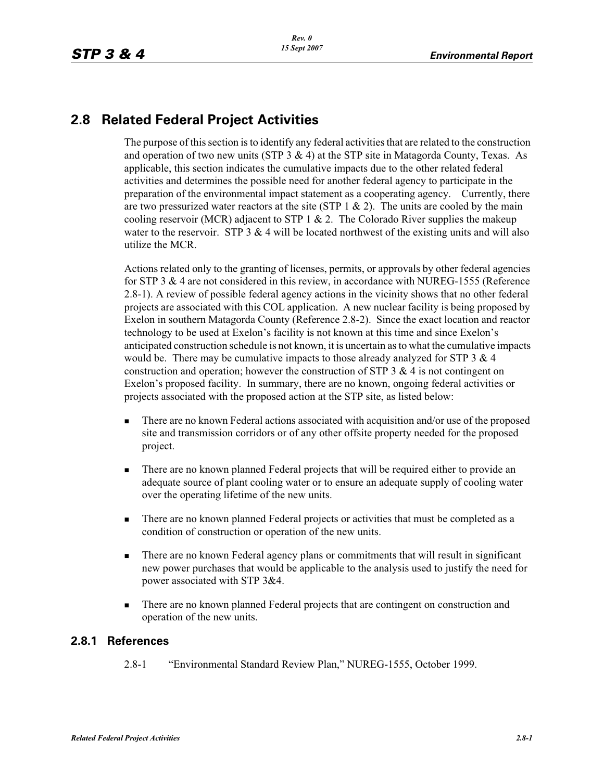## **2.8 Related Federal Project Activities**

The purpose of this section is to identify any federal activities that are related to the construction and operation of two new units (STP  $3 \& 4$ ) at the STP site in Matagorda County, Texas. As applicable, this section indicates the cumulative impacts due to the other related federal activities and determines the possible need for another federal agency to participate in the preparation of the environmental impact statement as a cooperating agency. Currently, there are two pressurized water reactors at the site (STP  $1 \& 2$ ). The units are cooled by the main cooling reservoir (MCR) adjacent to STP 1  $& 2$ . The Colorado River supplies the makeup water to the reservoir. STP  $3 \& 4$  will be located northwest of the existing units and will also utilize the MCR.

Actions related only to the granting of licenses, permits, or approvals by other federal agencies for STP 3 & 4 are not considered in this review, in accordance with NUREG-1555 (Reference 2.8-1). A review of possible federal agency actions in the vicinity shows that no other federal projects are associated with this COL application. A new nuclear facility is being proposed by Exelon in southern Matagorda County (Reference 2.8-2). Since the exact location and reactor technology to be used at Exelon's facility is not known at this time and since Exelon's anticipated construction schedule is not known, it is uncertain as to what the cumulative impacts would be. There may be cumulative impacts to those already analyzed for STP  $3 \& 4$ construction and operation; however the construction of STP  $3 \& 4$  is not contingent on Exelon's proposed facility. In summary, there are no known, ongoing federal activities or projects associated with the proposed action at the STP site, as listed below:

- - There are no known Federal actions associated with acquisition and/or use of the proposed site and transmission corridors or of any other offsite property needed for the proposed project.
- - There are no known planned Federal projects that will be required either to provide an adequate source of plant cooling water or to ensure an adequate supply of cooling water over the operating lifetime of the new units.
- - There are no known planned Federal projects or activities that must be completed as a condition of construction or operation of the new units.
- - There are no known Federal agency plans or commitments that will result in significant new power purchases that would be applicable to the analysis used to justify the need for power associated with STP 3&4.
- - There are no known planned Federal projects that are contingent on construction and operation of the new units.

## **2.8.1 References**

2.8-1 "Environmental Standard Review Plan," NUREG-1555, October 1999.